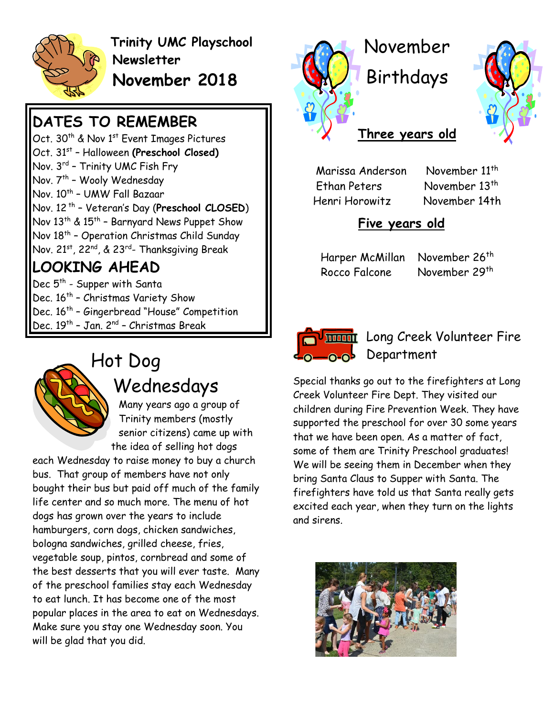

**Trinity UMC Playschool Newsletter November 2018**

## **DATES TO REMEMBER**

Oct. 30<sup>th</sup> & Nov 1<sup>st</sup> Event Images Pictures Oct. 31<sup>st</sup> - Halloween (Preschool Closed) Nov. 3rd – Trinity UMC Fish Fry Nov. 7th - Wooly Wednesday Nov. 10<sup>th</sup> - UMW Fall Bazaar Nov. 12 th – Veteran's Day (**Preschool CLOSED**) Nov 13<sup>th</sup> & 15<sup>th</sup> - Barnyard News Puppet Show Nov 18 th – Operation Christmas Child Sunday Nov. 21st, 22<sup>nd</sup>, & 23<sup>rd</sup>- Thanksgiving Break

#### **LOOKING AHEAD**

Dec 5<sup>th</sup> - Supper with Santa Dec. 16<sup>th</sup> - Christmas Variety Show Dec. 16<sup>th</sup> - Gingerbread "House" Competition Dec. 19<sup>th</sup> - Jan. 2<sup>nd</sup> - Christmas Break



# Hot Dog Wednesdays

Many years ago a group of Trinity members (mostly senior citizens) came up with the idea of selling hot dogs

each Wednesday to raise money to buy a church bus. That group of members have not only bought their bus but paid off much of the family life center and so much more. The menu of hot dogs has grown over the years to include hamburgers, corn dogs, chicken sandwiches, bologna sandwiches, grilled cheese, fries, vegetable soup, pintos, cornbread and some of the best desserts that you will ever taste. Many of the preschool families stay each Wednesday to eat lunch. It has become one of the most popular places in the area to eat on Wednesdays. Make sure you stay one Wednesday soon. You will be glad that you did.



Birthdays



#### **Three years old**

Marissa Anderson November 11<sup>th</sup> Ethan Peters November 13<sup>th</sup> Henri Horowitz November 14th

#### **Five years old**

Harper McMillan November 26<sup>th</sup> Rocco Falcone November 29th



#### **WE Long Creek Volunteer Fire Q**<sub>0</sub>Q<sub>0</sub> Department

Special thanks go out to the firefighters at Long Creek Volunteer Fire Dept. They visited our children during Fire Prevention Week. They have supported the preschool for over 30 some years that we have been open. As a matter of fact, some of them are Trinity Preschool graduates! We will be seeing them in December when they bring Santa Claus to Supper with Santa. The firefighters have told us that Santa really gets excited each year, when they turn on the lights and sirens.

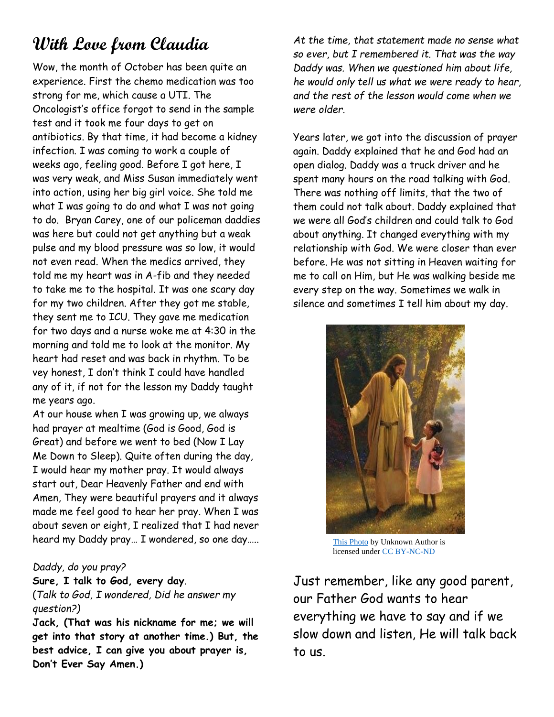# **With Love from Claudia**

Wow, the month of October has been quite an experience. First the chemo medication was too strong for me, which cause a UTI. The Oncologist's office forgot to send in the sample test and it took me four days to get on antibiotics. By that time, it had become a kidney infection. I was coming to work a couple of weeks ago, feeling good. Before I got here, I was very weak, and Miss Susan immediately went into action, using her big girl voice. She told me what I was going to do and what I was not going to do. Bryan Carey, one of our policeman daddies was here but could not get anything but a weak pulse and my blood pressure was so low, it would not even read. When the medics arrived, they told me my heart was in A-fib and they needed to take me to the hospital. It was one scary day for my two children. After they got me stable, they sent me to ICU. They gave me medication for two days and a nurse woke me at 4:30 in the morning and told me to look at the monitor. My heart had reset and was back in rhythm. To be vey honest, I don't think I could have handled any of it, if not for the lesson my Daddy taught me years ago.

At our house when I was growing up, we always had prayer at mealtime (God is Good, God is Great) and before we went to bed (Now I Lay Me Down to Sleep). Quite often during the day, I would hear my mother pray. It would always start out, Dear Heavenly Father and end with Amen, They were beautiful prayers and it always made me feel good to hear her pray. When I was about seven or eight, I realized that I had never heard my Daddy pray… I wondered, so one day…..

#### *Daddy, do you pray?*

**Sure, I talk to God, every day**. (*Talk to God, I wondered, Did he answer my question?)*

**Jack, (That was his nickname for me; we will get into that story at another time.) But, the best advice, I can give you about prayer is, Don't Ever Say Amen.)**

*At the time, that statement made no sense what so ever, but I remembered it. That was the way Daddy was. When we questioned him about life, he would only tell us what we were ready to hear, and the rest of the lesson would come when we were older.*

Years later, we got into the discussion of prayer again. Daddy explained that he and God had an open dialog. Daddy was a truck driver and he spent many hours on the road talking with God. There was nothing off limits, that the two of them could not talk about. Daddy explained that we were all God's children and could talk to God about anything. It changed everything with my relationship with God. We were closer than ever before. He was not sitting in Heaven waiting for me to call on Him, but He was walking beside me every step on the way. Sometimes we walk in silence and sometimes I tell him about my day.



[This Photo](http://www.newbeginningsittakescouragetochange.org/2011/09/daily-portion-confessions-from-my-heart.html) by Unknown Author is licensed unde[r CC BY-NC-ND](https://creativecommons.org/licenses/by-nc-nd/3.0/)

Just remember, like any good parent, our Father God wants to hear everything we have to say and if we slow down and listen, He will talk back to us.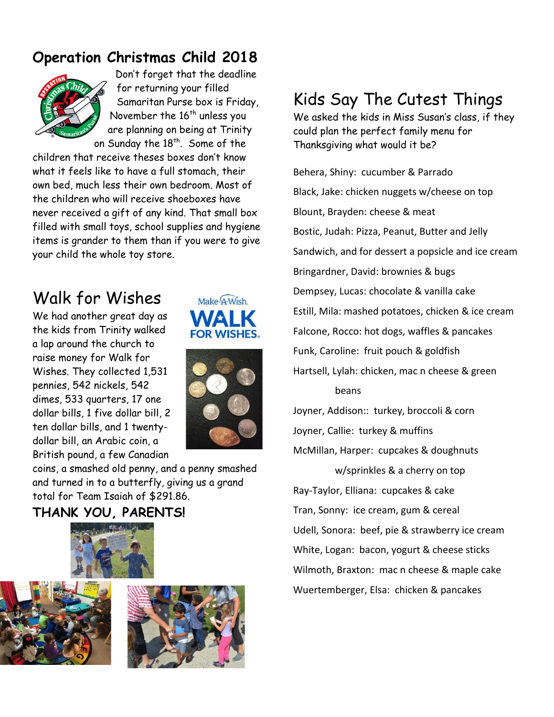#### **Operation Christmas Child 2018**



Don't forget that the deadline for returning your filled Samaritan Purse box is Friday, November the  $16<sup>th</sup>$  unless you are planning on being at Trinity on Sunday the  $18^{\text{th}}$ . Some of the

children that receive theses boxes don't know what it feels like to have a full stomach, their own bed, much less their own bedroom. Most of the children who will receive shoeboxes have never received a gift of any kind. That small box filled with small toys, school supplies and hygiene items is grander to them than if you were to give your child the whole toy store.

# Walk for Wishes

We had another great day as the kids from Trinity walked a lap around the church to raise money for Walk for Wishes. They collected 1,531 pennies, 542 nickels, 542 dimes, 533 quarters, 17 one dollar bills, 1 five dollar bill, 2 ten dollar bills, and 1 twentydollar bill, an Arabic coin, a British pound, a few Canadian





coins, a smashed old penny, and a penny smashed and turned in to a butterfly, giving us a grand total for Team Isaiah of \$291.86.

#### **THANK YOU, PARENTS!**







# Kids Say The Cutest Things

We asked the kids in Miss Susan's class, if they could plan the perfect family menu for Thanksgiving what would it be?

Behera, Shiny: cucumber & Parrado Black, Jake: chicken nuggets w/cheese on top Blount, Brayden: cheese & meat Bostic, Judah: Pizza, Peanut, Butter and Jelly Sandwich, and for dessert a popsicle and ice cream Bringardner, David: brownies & bugs Dempsey, Lucas: chocolate & vanilla cake Estill, Mila: mashed potatoes, chicken & ice cream Falcone, Rocco: hot dogs, waffles & pancakes Funk, Caroline: fruit pouch & goldfish Hartsell, Lylah: chicken, mac n cheese & green beans Joyner, Addison:: turkey, broccoli & corn

Joyner, Callie: turkey & muffins McMillan, Harper: cupcakes & doughnuts w/sprinkles & a cherry on top Ray-Taylor, Elliana: cupcakes & cake Tran, Sonny: ice cream, gum & cereal Udell, Sonora: beef, pie & strawberry ice cream White, Logan: bacon, yogurt & cheese sticks Wilmoth, Braxton: mac n cheese & maple cake Wuertemberger, Elsa: chicken & pancakes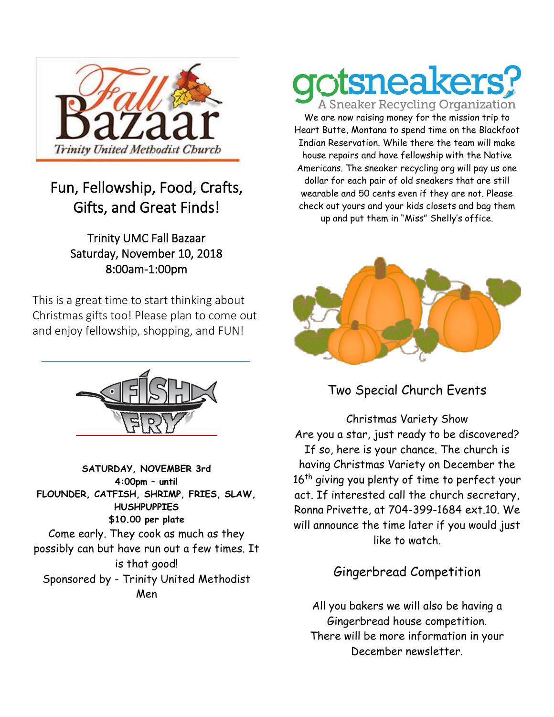

#### Fun, Fellowship, Food, Crafts, Gifts, and Great Finds!

#### Trinity UMC Fall Bazaar Saturday, November 10, 2018 8:00am-1:00pm

This is a great time to start thinking about Christmas gifts too! Please plan to come out and enjoy fellowship, shopping, and FUN!



**SATURDAY, NOVEMBER 3rd 4:00pm – until FLOUNDER, CATFISH, SHRIMP, FRIES, SLAW, HUSHPUPPIES \$10.00 per plate** Come early. They cook as much as they possibly can but have run out a few times. It is that good! Sponsored by - Trinity United Methodist Men

# neake

**A Sneaker Recycling Organization** We are now raising money for the mission trip to Heart Butte, Montana to spend time on the Blackfoot Indian Reservation. While there the team will make house repairs and have fellowship with the Native Americans. The sneaker recycling org will pay us one dollar for each pair of old sneakers that are still wearable and 50 cents even if they are not. Please check out yours and your kids closets and bag them up and put them in "Miss" Shelly's office.



Two Special Church Events

Christmas Variety Show Are you a star, just ready to be discovered? If so, here is your chance. The church is having Christmas Variety on December the 16<sup>th</sup> giving you plenty of time to perfect your act. If interested call the church secretary, Ronna Privette, at 704-399-1684 ext.10. We will announce the time later if you would just like to watch.

Gingerbread Competition

All you bakers we will also be having a Gingerbread house competition. There will be more information in your December newsletter.